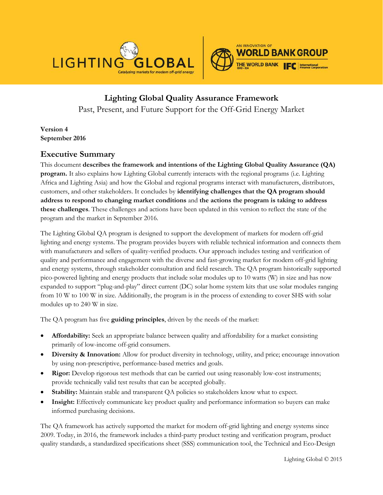



**Lighting Global Quality Assurance Framework** Past, Present, and Future Support for the Off-Grid Energy Market

**Version 4 September 2016**

# **Executive Summary**

This document **describes the framework and intentions of the Lighting Global Quality Assurance (QA) program.** It also explains how Lighting Global currently interacts with the regional programs (i.e. Lighting Africa and Lighting Asia) and how the Global and regional programs interact with manufacturers, distributors, customers, and other stakeholders. It concludes by **identifying challenges that the QA program should address to respond to changing market conditions** and **the actions the program is taking to address these challenges**. These challenges and actions have been updated in this version to reflect the state of the program and the market in September 2016.

The Lighting Global QA program is designed to support the development of markets for modern off-grid lighting and energy systems. The program provides buyers with reliable technical information and connects them with manufacturers and sellers of quality-verified products. Our approach includes testing and verification of quality and performance and engagement with the diverse and fast-growing market for modern off-grid lighting and energy systems, through stakeholder consultation and field research. The QA program historically supported pico-powered lighting and energy products that include solar modules up to 10 watts (W) in size and has now expanded to support "plug-and-play" direct current (DC) solar home system kits that use solar modules ranging from 10 W to 100 W in size. Additionally, the program is in the process of extending to cover SHS with solar modules up to 240 W in size.

The QA program has five **guiding principles**, driven by the needs of the market:

- **Affordability:** Seek an appropriate balance between quality and affordability for a market consisting primarily of low-income off-grid consumers.
- **Diversity & Innovation:** Allow for product diversity in technology, utility, and price; encourage innovation by using non-prescriptive, performance-based metrics and goals.
- **Rigor:** Develop rigorous test methods that can be carried out using reasonably low-cost instruments; provide technically valid test results that can be accepted globally.
- **Stability:** Maintain stable and transparent QA policies so stakeholders know what to expect.
- **Insight:** Effectively communicate key product quality and performance information so buyers can make informed purchasing decisions.

The QA framework has actively supported the market for modern off-grid lighting and energy systems since 2009. Today, in 2016, the framework includes a third-party product testing and verification program, product quality standards, a standardized specifications sheet (SSS) communication tool, the Technical and Eco-Design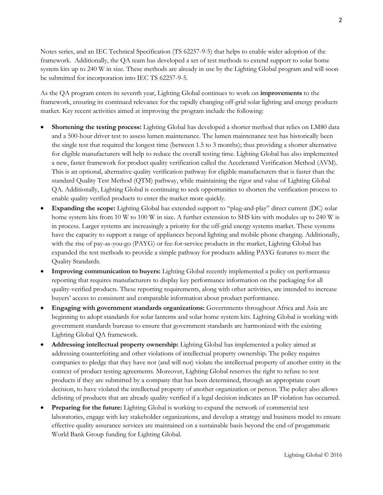Notes series, and an IEC Technical Specification (TS 62257-9-5) that helps to enable wider adoption of the framework. Additionally, the QA team has developed a set of test methods to extend support to solar home system kits up to 240 W in size. These methods are already in use by the Lighting Global program and will soon be submitted for incorporation into IEC TS 62257-9-5.

As the QA program enters its seventh year, Lighting Global continues to work on **improvements** to the framework, ensuring its continued relevance for the rapidly changing off-grid solar lighting and energy products market. Key recent activities aimed at improving the program include the following:

- **Shortening the testing process:** Lighting Global has developed a shorter method that relies on LM80 data and a 500-hour driver test to assess lumen maintenance. The lumen maintenance test has historically been the single test that required the longest time (between 1.5 to 3 months); thus providing a shorter alternative for eligible manufacturers will help to reduce the overall testing time. Lighting Global has also implemented a new, faster framework for product quality verification called the Accelerated Verification Method (AVM). This is an optional, alternative quality verification pathway for eligible manufacturers that is faster than the standard Quality Test Method (QTM) pathway, while maintaining the rigor and value of Lighting Global QA. Additionally, Lighting Global is continuing to seek opportunities to shorten the verification process to enable quality verified products to enter the market more quickly.
- **Expanding the scope:** Lighting Global has extended support to "plug-and-play" direct current (DC) solar home system kits from 10 W to 100 W in size. A further extension to SHS kits with modules up to 240 W is in process. Larger systems are increasingly a priority for the off-grid energy systems market. These systems have the capacity to support a range of appliances beyond lighting and mobile phone charging. Additionally, with the rise of pay-as-you-go (PAYG) or fee-for-service products in the market, Lighting Global has expanded the test methods to provide a simple pathway for products adding PAYG features to meet the Quality Standards.
- **Improving communication to buyers:** Lighting Global recently implemented a policy on performance reporting that requires manufacturers to display key performance information on the packaging for all quality-verified products. These reporting requirements, along with other activities, are intended to increase buyers' access to consistent and comparable information about product performance.
- **Engaging with government standards organizations:** Governments throughout Africa and Asia are beginning to adopt standards for solar lanterns and solar home system kits. Lighting Global is working with government standards bureaus to ensure that government standards are harmonized with the existing Lighting Global QA framework.
- **Addressing intellectual property ownership:** Lighting Global has implemented a policy aimed at addressing counterfeiting and other violations of intellectual property ownership. The policy requires companies to pledge that they have not (and will not) violate the intellectual property of another entity in the context of product testing agreements. Moreover, Lighting Global reserves the right to refuse to test products if they are submitted by a company that has been determined, through an appropriate court decision, to have violated the intellectual property of another organization or person. The policy also allows delisting of products that are already quality verified if a legal decision indicates an IP violation has occurred.
- **Preparing for the future:** Lighting Global is working to expand the network of commercial test laboratories, engage with key stakeholder organizations, and develop a strategy and business model to ensure effective quality assurance services are maintained on a sustainable basis beyond the end of progammatic World Bank Group funding for Lighting Global.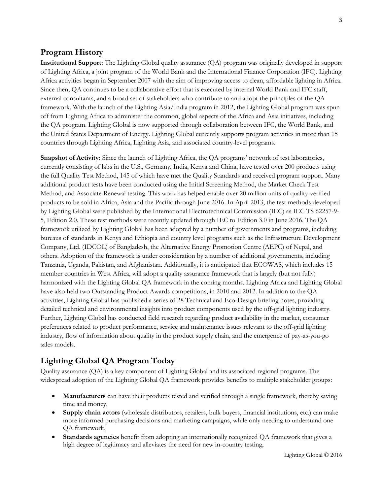# **Program History**

**Institutional Support:** The Lighting Global quality assurance (QA) program was originally developed in support of Lighting Africa, a joint program of the World Bank and the International Finance Corporation (IFC). Lighting Africa activities began in September 2007 with the aim of improving access to clean, affordable lighting in Africa. Since then, QA continues to be a collaborative effort that is executed by internal World Bank and IFC staff, external consultants, and a broad set of stakeholders who contribute to and adopt the principles of the QA framework. With the launch of the Lighting Asia/India program in 2012, the Lighting Global program was spun off from Lighting Africa to administer the common, global aspects of the Africa and Asia initiatives, including the QA program. Lighting Global is now supported through collaboration between IFC, the World Bank, and the United States Department of Energy. Lighting Global currently supports program activities in more than 15 countries through Lighting Africa, Lighting Asia, and associated country-level programs.

**Snapshot of Activity:** Since the launch of Lighting Africa, the QA programs' network of test laboratories, currently consisting of labs in the U.S., Germany, India, Kenya and China, have tested over 200 products using the full Quality Test Method, 145 of which have met the Quality Standards and received program support. Many additional product tests have been conducted using the Initial Screening Method, the Market Check Test Method, and Associate Renewal testing. This work has helped enable over 20 million units of quality-verified products to be sold in Africa, Asia and the Pacific through June 2016. In April 2013, the test methods developed by Lighting Global were published by the International Electrotechnical Commission (IEC) as IEC TS 62257-9- 5, Edition 2.0. These test methods were recently updated through IEC to Edition 3.0 in June 2016. The QA framework utilized by Lighting Global has been adopted by a number of governments and programs, including bureaus of standards in Kenya and Ethiopia and country level programs such as the Infrastructure Development Company, Ltd. (IDCOL) of Bangladesh, the Alternative Energy Promotion Centre (AEPC) of Nepal, and others. Adoption of the framework is under consideration by a number of additional governments, including Tanzania, Uganda, Pakistan, and Afghanistan. Additionally, it is anticipated that ECOWAS, which includes 15 member countries in West Africa, will adopt a quality assurance framework that is largely (but not fully) harmonized with the Lighting Global QA framework in the coming months. Lighting Africa and Lighting Global have also held two Outstanding Product Awards competitions, in 2010 and 2012. In addition to the QA activities, Lighting Global has published a series of 28 Technical and Eco-Design briefing notes, providing detailed technical and environmental insights into product components used by the off-grid lighting industry. Further, Lighting Global has conducted field research regarding product availability in the market, consumer preferences related to product performance, service and maintenance issues relevant to the off-grid lighting industry, flow of information about quality in the product supply chain, and the emergence of pay-as-you-go sales models.

# **Lighting Global QA Program Today**

Quality assurance (QA) is a key component of Lighting Global and its associated regional programs. The widespread adoption of the Lighting Global QA framework provides benefits to multiple stakeholder groups:

- **Manufacturers** can have their products tested and verified through a single framework, thereby saving time and money,
- **Supply chain actors** (wholesale distributors, retailers, bulk buyers, financial institutions, etc.) can make more informed purchasing decisions and marketing campaigns, while only needing to understand one QA framework,
- **Standards agencies** benefit from adopting an internationally recognized QA framework that gives a high degree of legitimacy and alleviates the need for new in-country testing,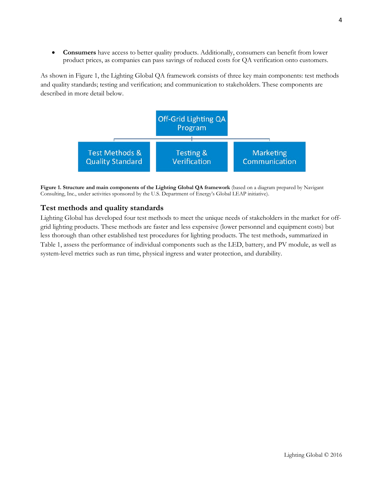• **Consumers** have access to better quality products. Additionally, consumers can benefit from lower product prices, as companies can pass savings of reduced costs for QA verification onto customers.

As shown in Figure 1, the Lighting Global QA framework consists of three key main components: test methods and quality standards; testing and verification; and communication to stakeholders. These components are described in more detail below.



**Figure 1. Structure and main components of the Lighting Global QA framework** (based on a diagram prepared by Navigant Consulting, Inc., under activities sponsored by the U.S. Department of Energy's Global LEAP initiative).

## **Test methods and quality standards**

Lighting Global has developed four test methods to meet the unique needs of stakeholders in the market for offgrid lighting products. These methods are faster and less expensive (lower personnel and equipment costs) but less thorough than other established test procedures for lighting products. The test methods, summarized in Table 1, assess the performance of individual components such as the LED, battery, and PV module, as well as system-level metrics such as run time, physical ingress and water protection, and durability.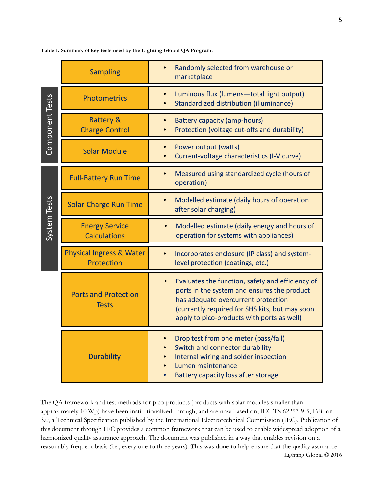|                     | <b>Sampling</b>                                   | Randomly selected from warehouse or<br>marketplace                                                                                                                                                                                                                                                                                                                                                                                                                                                                                                                                                                                                                         |
|---------------------|---------------------------------------------------|----------------------------------------------------------------------------------------------------------------------------------------------------------------------------------------------------------------------------------------------------------------------------------------------------------------------------------------------------------------------------------------------------------------------------------------------------------------------------------------------------------------------------------------------------------------------------------------------------------------------------------------------------------------------------|
| Component Tests     | <b>Photometrics</b>                               | Luminous flux (lumens-total light output)<br>$\bullet$<br>Standardized distribution (illuminance)                                                                                                                                                                                                                                                                                                                                                                                                                                                                                                                                                                          |
|                     | <b>Battery &amp;</b><br><b>Charge Control</b>     | <b>Battery capacity (amp-hours)</b><br>Protection (voltage cut-offs and durability)                                                                                                                                                                                                                                                                                                                                                                                                                                                                                                                                                                                        |
|                     | <b>Solar Module</b>                               | Power output (watts)<br>Current-voltage characteristics (I-V curve)                                                                                                                                                                                                                                                                                                                                                                                                                                                                                                                                                                                                        |
| <b>System Tests</b> | <b>Full-Battery Run Time</b>                      | Measured using standardized cycle (hours of<br>operation)                                                                                                                                                                                                                                                                                                                                                                                                                                                                                                                                                                                                                  |
|                     | <b>Solar-Charge Run Time</b>                      | Modelled estimate (daily hours of operation<br>$\bullet$<br>after solar charging)                                                                                                                                                                                                                                                                                                                                                                                                                                                                                                                                                                                          |
|                     | <b>Energy Service</b><br><b>Calculations</b>      | Modelled estimate (daily energy and hours of<br>operation for systems with appliances)                                                                                                                                                                                                                                                                                                                                                                                                                                                                                                                                                                                     |
|                     | <b>Physical Ingress &amp; Water</b><br>Protection | Incorporates enclosure (IP class) and system-<br>level protection (coatings, etc.)                                                                                                                                                                                                                                                                                                                                                                                                                                                                                                                                                                                         |
|                     | <b>Ports and Protection</b><br><b>Tests</b>       | Evaluates the function, safety and efficiency of<br>$\bullet$<br>ports in the system and ensures the product<br>has adequate overcurrent protection<br>(currently required for SHS kits, but may soon<br>apply to pico-products with ports as well)                                                                                                                                                                                                                                                                                                                                                                                                                        |
|                     | <b>Durability</b>                                 | Drop test from one meter (pass/fail)<br>Switch and connector durability<br>Internal wiring and solder inspection<br>Lumen maintenance<br>Battery capacity loss after storage<br>$\bullet$                                                                                                                                                                                                                                                                                                                                                                                                                                                                                  |
|                     |                                                   | The QA framework and test methods for pico-products (products with solar modules smaller than<br>approximately 10 Wp) have been institutionalized through, and are now based on, IEC TS 62257-9-5, Edition<br>3.0, a Technical Specification published by the International Electrotechnical Commission (IEC). Publication of<br>this document through IEC provides a common framework that can be used to enable widespread adoption of a<br>harmonized quality assurance approach. The document was published in a way that enables revision on a<br>reasonably frequent basis (i.e., every one to three years). This was done to help ensure that the quality assurance |

**Table 1. Summary of key tests used by the Lighting Global QA Program.**

Lighting Global © 2016 The QA framework and test methods for pico-products (products with solar modules smaller than approximately 10 Wp) have been institutionalized through, and are now based on, IEC TS 62257-9-5, Edition 3.0, a Technical Specification published by the International Electrotechnical Commission (IEC). Publication of this document through IEC provides a common framework that can be used to enable widespread adoption of a harmonized quality assurance approach. The document was published in a way that enables revision on a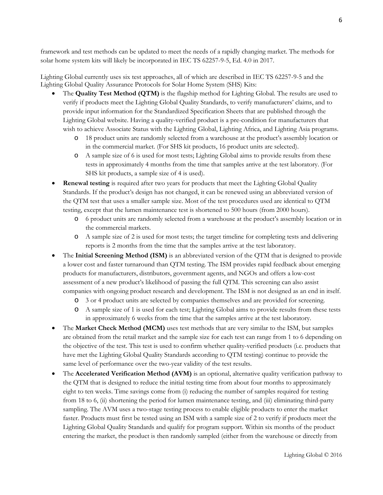framework and test methods can be updated to meet the needs of a rapidly changing market. The methods for solar home system kits will likely be incorporated in IEC TS 62257-9-5, Ed. 4.0 in 2017.

Lighting Global currently uses six test approaches, all of which are described in IEC TS 62257-9-5 and the Lighting Global Quality Assurance Protocols for Solar Home System (SHS) Kits:

- The **Quality Test Method (QTM)** is the flagship method for Lighting Global. The results are used to verify if products meet the Lighting Global Quality Standards, to verify manufacturers' claims, and to provide input information for the Standardized Specification Sheets that are published through the Lighting Global website. Having a quality-verified product is a pre-condition for manufacturers that wish to achieve Associate Status with the Lighting Global, Lighting Africa, and Lighting Asia programs.
	- 18 product units are randomly selected from a warehouse at the product's assembly location or in the commercial market. (For SHS kit products, 16 product units are selected).
	- o A sample size of 6 is used for most tests; Lighting Global aims to provide results from these tests in approximately 4 months from the time that samples arrive at the test laboratory. (For SHS kit products, a sample size of 4 is used).
- **Renewal testing** is required after two years for products that meet the Lighting Global Quality Standards. If the product's design has not changed, it can be renewed using an abbreviated version of the QTM test that uses a smaller sample size. Most of the test procedures used are identical to QTM testing, except that the lumen maintenance test is shortened to 500 hours (from 2000 hours).
	- o 6 product units are randomly selected from a warehouse at the product's assembly location or in the commercial markets.
	- o A sample size of 2 is used for most tests; the target timeline for completing tests and delivering reports is 2 months from the time that the samples arrive at the test laboratory.
- The **Initial Screening Method (ISM)** is an abbreviated version of the QTM that is designed to provide a lower cost and faster turnaround than QTM testing. The ISM provides rapid feedback about emerging products for manufacturers, distributors, government agents, and NGOs and offers a low-cost assessment of a new product's likelihood of passing the full QTM. This screening can also assist companies with ongoing product research and development. The ISM is not designed as an end in itself.
	- o 3 or 4 product units are selected by companies themselves and are provided for screening.
	- o A sample size of 1 is used for each test; Lighting Global aims to provide results from these tests in approximately 6 weeks from the time that the samples arrive at the test laboratory.
- The **Market Check Method (MCM)** uses test methods that are very similar to the ISM, but samples are obtained from the retail market and the sample size for each test can range from 1 to 6 depending on the objective of the test. This test is used to confirm whether quality-verified products (i.e. products that have met the Lighting Global Quality Standards according to QTM testing) continue to provide the same level of performance over the two-year validity of the test results.
- The **Accelerated Verification Method (AVM)** is an optional, alternative quality verification pathway to the QTM that is designed to reduce the initial testing time from about four months to approximately eight to ten weeks. Time savings come from (i) reducing the number of samples required for testing from 18 to 6, (ii) shortening the period for lumen maintenance testing, and (iii) eliminating third-party sampling. The AVM uses a two-stage testing process to enable eligible products to enter the market faster. Products must first be tested using an ISM with a sample size of 2 to verify if products meet the Lighting Global Quality Standards and qualify for program support. Within six months of the product entering the market, the product is then randomly sampled (either from the warehouse or directly from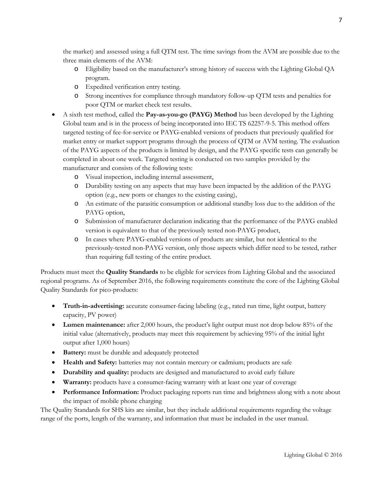the market) and assessed using a full QTM test. The time savings from the AVM are possible due to the three main elements of the AVM:

- o Eligibility based on the manufacturer's strong history of success with the Lighting Global QA program.
- o Expedited verification entry testing.
- o Strong incentives for compliance through mandatory follow-up QTM tests and penalties for poor QTM or market check test results.
- A sixth test method, called the **Pay-as-you-go (PAYG) Method** has been developed by the Lighting Global team and is in the process of being incorporated into IEC TS 62257-9-5. This method offers targeted testing of fee-for-service or PAYG-enabled versions of products that previously qualified for market entry or market support programs through the process of QTM or AVM testing. The evaluation of the PAYG aspects of the products is limited by design, and the PAYG specific tests can generally be completed in about one week. Targeted testing is conducted on two samples provided by the manufacturer and consists of the following tests:
	- o Visual inspection, including internal assessment,
	- o Durability testing on any aspects that may have been impacted by the addition of the PAYG option (e.g., new ports or changes to the existing casing),
	- o An estimate of the parasitic consumption or additional standby loss due to the addition of the PAYG option,
	- o Submission of manufacturer declaration indicating that the performance of the PAYG enabled version is equivalent to that of the previously tested non-PAYG product,
	- o In cases where PAYG-enabled versions of products are similar, but not identical to the previously-tested non-PAYG version, only those aspects which differ need to be tested, rather than requiring full testing of the entire product.

Products must meet the **Quality Standards** to be eligible for services from Lighting Global and the associated regional programs. As of September 2016, the following requirements constitute the core of the Lighting Global Quality Standards for pico-products:

- **Truth-in-advertising:** accurate consumer-facing labeling (e.g., rated run time, light output, battery capacity, PV power)
- **Lumen maintenance:** after 2,000 hours, the product's light output must not drop below 85% of the initial value (alternatively, products may meet this requirement by achieving 95% of the initial light output after 1,000 hours)
- **Battery:** must be durable and adequately protected
- **Health and Safety:** batteries may not contain mercury or cadmium; products are safe
- **Durability and quality:** products are designed and manufactured to avoid early failure
- **Warranty:** products have a consumer-facing warranty with at least one year of coverage
- **Performance Information:** Product packaging reports run time and brightness along with a note about the impact of mobile phone charging

The Quality Standards for SHS kits are similar, but they include additional requirements regarding the voltage range of the ports, length of the warranty, and information that must be included in the user manual.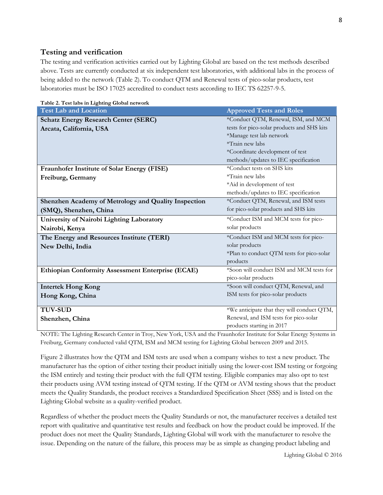## **Testing and verification**

The testing and verification activities carried out by Lighting Global are based on the test methods described above. Tests are currently conducted at six independent test laboratories, with additional labs in the process of being added to the network (Table 2). To conduct QTM and Renewal tests of pico-solar products, test laboratories must be ISO 17025 accredited to conduct tests according to IEC TS 62257-9-5.

| Table 2. Test labs in Lighting Global network            |                                            |  |  |  |
|----------------------------------------------------------|--------------------------------------------|--|--|--|
| <b>Test Lab and Location</b>                             | <b>Approved Tests and Roles</b>            |  |  |  |
| <b>Schatz Energy Research Center (SERC)</b>              | *Conduct QTM, Renewal, ISM, and MCM        |  |  |  |
| Arcata, California, USA                                  | tests for pico-solar products and SHS kits |  |  |  |
|                                                          | *Manage test lab network                   |  |  |  |
|                                                          | *Train new labs                            |  |  |  |
|                                                          | *Coordinate development of test            |  |  |  |
|                                                          | methods/updates to IEC specification       |  |  |  |
| Fraunhofer Institute of Solar Energy (FISE)              | *Conduct tests on SHS kits                 |  |  |  |
| Freiburg, Germany                                        | *Train new labs                            |  |  |  |
|                                                          | *Aid in development of test                |  |  |  |
|                                                          | methods/updates to IEC specification       |  |  |  |
| Shenzhen Academy of Metrology and Quality Inspection     | *Conduct QTM, Renewal, and ISM tests       |  |  |  |
| (SMQ), Shenzhen, China                                   | for pico-solar products and SHS kits       |  |  |  |
| University of Nairobi Lighting Laboratory                | *Conduct ISM and MCM tests for pico-       |  |  |  |
| Nairobi, Kenya                                           | solar products                             |  |  |  |
| The Energy and Resources Institute (TERI)                | *Conduct ISM and MCM tests for pico-       |  |  |  |
| New Delhi, India                                         | solar products                             |  |  |  |
|                                                          | *Plan to conduct QTM tests for pico-solar  |  |  |  |
|                                                          | products                                   |  |  |  |
| <b>Ethiopian Conformity Assessment Enterprise (ECAE)</b> | *Soon will conduct ISM and MCM tests for   |  |  |  |
|                                                          | pico-solar products                        |  |  |  |
| <b>Intertek Hong Kong</b>                                | *Soon will conduct QTM, Renewal, and       |  |  |  |
| Hong Kong, China                                         | ISM tests for pico-solar products          |  |  |  |
|                                                          |                                            |  |  |  |
| <b>TUV-SUD</b>                                           | *We anticipate that they will conduct QTM, |  |  |  |
| Shenzhen, China                                          | Renewal, and ISM tests for pico-solar      |  |  |  |
|                                                          | products starting in 2017                  |  |  |  |

NOTE: The Lighting Research Center in Troy, New York, USA and the Fraunhofer Institute for Solar Energy Systems in Freiburg, Germany conducted valid QTM, ISM and MCM testing for Lighting Global between 2009 and 2015.

Figure 2 illustrates how the QTM and ISM tests are used when a company wishes to test a new product. The manufacturer has the option of either testing their product initially using the lower-cost ISM testing or forgoing the ISM entirely and testing their product with the full QTM testing. Eligible companies may also opt to test their products using AVM testing instead of QTM testing. If the QTM or AVM testing shows that the product meets the Quality Standards, the product receives a Standardized Specification Sheet (SSS) and is listed on the Lighting Global website as a quality-verified product.

Regardless of whether the product meets the Quality Standards or not, the manufacturer receives a detailed test report with qualitative and quantitative test results and feedback on how the product could be improved. If the product does not meet the Quality Standards, Lighting Global will work with the manufacturer to resolve the issue. Depending on the nature of the failure, this process may be as simple as changing product labeling and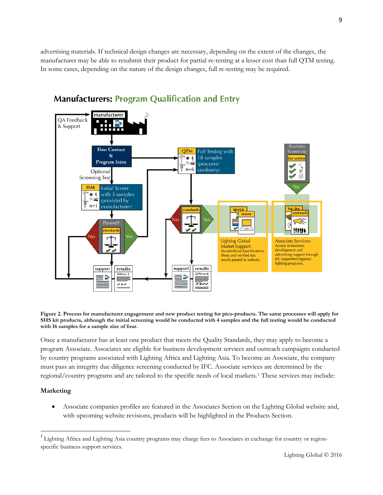advertising materials. If technical design changes are necessary, depending on the extent of the changes, the manufacturer may be able to resubmit their product for partial re-testing at a lesser cost than full QTM testing. In some cases, depending on the nature of the design changes, full re-testing may be required.



# **Manufacturers: Program Qualification and Entry**

**Figure 2. Process for manufacturer engagement and new product testing for pico-products. The same processes will apply for SHS kit products, although the initial screening would be conducted with 4 samples and the full testing would be conducted with 16 samples for a sample size of four.**

Once a manufacturer has at least one product that meets the Quality Standards, they may apply to become a program Associate. Associates are eligible for business development services and outreach campaigns conducted by country programs associated with Lighting Africa and Lighting Asia. To become an Associate, the company must pass an integrity due diligence screening conducted by IFC. Associate services are determined by the regional/country programs and are tailored to the specific needs of local markets.[1](#page-8-0) These services may include:

## **Marketing**

• Associate companies profiles are featured in the Associates Section on the Lighting Global website and, with upcoming website revisions, products will be highlighted in the Products Section.

<span id="page-8-0"></span> $1$  Lighting Africa and Lighting Asia country programs may charge fees to Associates in exchange for country or regionspecific business support services.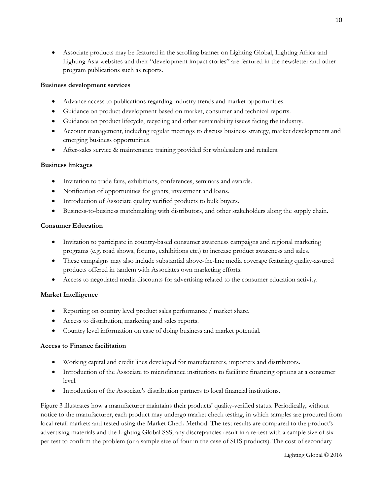• Associate products may be featured in the scrolling banner on Lighting Global, Lighting Africa and Lighting Asia websites and their "development impact stories" are featured in the newsletter and other program publications such as reports.

#### **Business development services**

- Advance access to publications regarding industry trends and market opportunities.
- Guidance on product development based on market, consumer and technical reports.
- Guidance on product lifecycle, recycling and other sustainability issues facing the industry.
- Account management, including regular meetings to discuss business strategy, market developments and emerging business opportunities.
- After-sales service & maintenance training provided for wholesalers and retailers.

#### **Business linkages**

- Invitation to trade fairs, exhibitions, conferences, seminars and awards.
- Notification of opportunities for grants, investment and loans.
- Introduction of Associate quality verified products to bulk buyers.
- Business-to-business matchmaking with distributors, and other stakeholders along the supply chain.

#### **Consumer Education**

- Invitation to participate in country-based consumer awareness campaigns and regional marketing programs (e.g. road shows, forums, exhibitions etc.) to increase product awareness and sales.
- These campaigns may also include substantial above-the-line media coverage featuring quality-assured products offered in tandem with Associates own marketing efforts.
- Access to negotiated media discounts for advertising related to the consumer education activity.

#### **Market Intelligence**

- Reporting on country level product sales performance / market share.
- Access to distribution, marketing and sales reports.
- Country level information on ease of doing business and market potential.

#### **Access to Finance facilitation**

- Working capital and credit lines developed for manufacturers, importers and distributors.
- Introduction of the Associate to microfinance institutions to facilitate financing options at a consumer level.
- Introduction of the Associate's distribution partners to local financial institutions.

Figure 3 illustrates how a manufacturer maintains their products' quality-verified status. Periodically, without notice to the manufacturer, each product may undergo market check testing, in which samples are procured from local retail markets and tested using the Market Check Method. The test results are compared to the product's advertising materials and the Lighting Global SSS; any discrepancies result in a re-test with a sample size of six per test to confirm the problem (or a sample size of four in the case of SHS products). The cost of secondary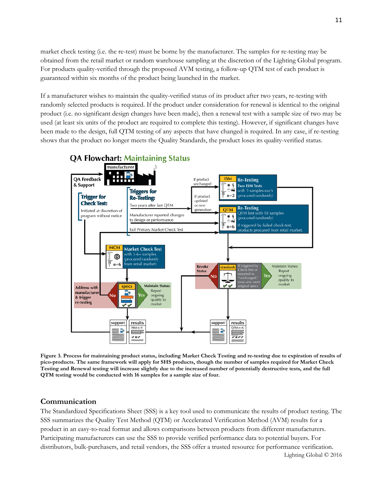market check testing (i.e. the re-test) must be borne by the manufacturer. The samples for re-testing may be obtained from the retail market or random warehouse sampling at the discretion of the Lighting Global program. For products quality-verified through the proposed AVM testing, a follow-up QTM test of each product is guaranteed within six months of the product being launched in the market.

If a manufacturer wishes to maintain the quality-verified status of its product after two years, re-testing with randomly selected products is required. If the product under consideration for renewal is identical to the original product (i.e. no significant design changes have been made), then a renewal test with a sample size of two may be used (at least six units of the product are required to complete this testing). However, if significant changes have been made to the design, full QTM testing of any aspects that have changed is required. In any case, if re-testing shows that the product no longer meets the Quality Standards, the product loses its quality-verified status.



# **QA Flowchart: Maintaining Status**

**Figure 3. Process for maintaining product status, including Market Check Testing and re-testing due to expiration of results of pico-products. The same framework will apply for SHS products, though the number of samples required for Market Check Testing and Renewal testing will increase slightly due to the increased number of potentially destructive tests, and the full QTM testing would be conducted with 16 samples for a sample size of four.**

## **Communication**

The Standardized Specifications Sheet (SSS) is a key tool used to communicate the results of product testing. The SSS summarizes the Quality Test Method (QTM) or Accelerated Verification Method (AVM) results for a product in an easy-to-read format and allows comparisons between products from different manufacturers. Participating manufacturers can use the SSS to provide verified performance data to potential buyers. For distributors, bulk-purchasers, and retail vendors, the SSS offer a trusted resource for performance verification.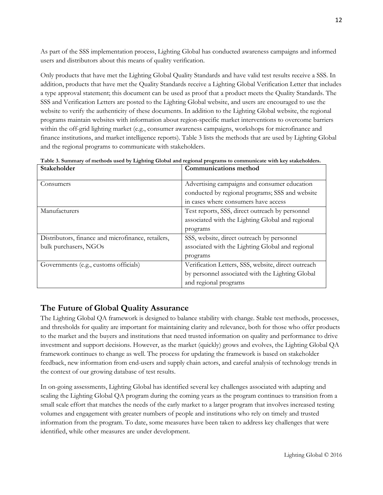As part of the SSS implementation process, Lighting Global has conducted awareness campaigns and informed users and distributors about this means of quality verification.

Only products that have met the Lighting Global Quality Standards and have valid test results receive a SSS. In addition, products that have met the Quality Standards receive a Lighting Global Verification Letter that includes a type approval statement; this document can be used as proof that a product meets the Quality Standards. The SSS and Verification Letters are posted to the Lighting Global website, and users are encouraged to use the website to verify the authenticity of these documents. In addition to the Lighting Global website, the regional programs maintain websites with information about region-specific market interventions to overcome barriers within the off-grid lighting market (e.g., consumer awareness campaigns, workshops for microfinance and finance institutions, and market intelligence reports). Table 3 lists the methods that are used by Lighting Global and the regional programs to communicate with stakeholders.

| Stakeholder                                        | <b>Communications method</b>                        |  |
|----------------------------------------------------|-----------------------------------------------------|--|
|                                                    |                                                     |  |
| Consumers                                          | Advertising campaigns and consumer education        |  |
|                                                    | conducted by regional programs; SSS and website     |  |
|                                                    | in cases where consumers have access                |  |
| Manufacturers                                      | Test reports, SSS, direct outreach by personnel     |  |
|                                                    | associated with the Lighting Global and regional    |  |
|                                                    | programs                                            |  |
| Distributors, finance and microfinance, retailers, | SSS, website, direct outreach by personnel          |  |
| bulk purchasers, NGOs                              | associated with the Lighting Global and regional    |  |
|                                                    | programs                                            |  |
| Governments (e.g., customs officials)              | Verification Letters, SSS, website, direct outreach |  |
|                                                    | by personnel associated with the Lighting Global    |  |
|                                                    | and regional programs                               |  |

**Table 3. Summary of methods used by Lighting Global and regional programs to communicate with key stakeholders.**

# **The Future of Global Quality Assurance**

The Lighting Global QA framework is designed to balance stability with change. Stable test methods, processes, and thresholds for quality are important for maintaining clarity and relevance, both for those who offer products to the market and the buyers and institutions that need trusted information on quality and performance to drive investment and support decisions. However, as the market (quickly) grows and evolves, the Lighting Global QA framework continues to change as well. The process for updating the framework is based on stakeholder feedback, new information from end-users and supply chain actors, and careful analysis of technology trends in the context of our growing database of test results.

In on-going assessments, Lighting Global has identified several key challenges associated with adapting and scaling the Lighting Global QA program during the coming years as the program continues to transition from a small scale effort that matches the needs of the early market to a larger program that involves increased testing volumes and engagement with greater numbers of people and institutions who rely on timely and trusted information from the program. To date, some measures have been taken to address key challenges that were identified, while other measures are under development.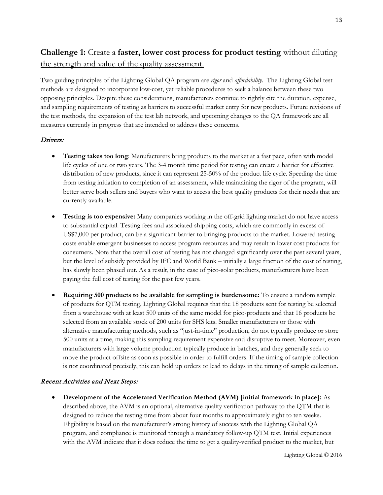# **Challenge 1:** Create a **faster, lower cost process for product testing** without diluting the strength and value of the quality assessment.

Two guiding principles of the Lighting Global QA program are *rigor* and *affordability*. The Lighting Global test methods are designed to incorporate low-cost, yet reliable procedures to seek a balance between these two opposing principles. Despite these considerations, manufacturers continue to rightly cite the duration, expense, and sampling requirements of testing as barriers to successful market entry for new products. Future revisions of the test methods, the expansion of the test lab network, and upcoming changes to the QA framework are all measures currently in progress that are intended to address these concerns.

## Drivers:

- **Testing takes too long**: Manufacturers bring products to the market at a fast pace, often with model life cycles of one or two years. The 3-4 month time period for testing can create a barrier for effective distribution of new products, since it can represent 25-50% of the product life cycle. Speeding the time from testing initiation to completion of an assessment, while maintaining the rigor of the program, will better serve both sellers and buyers who want to access the best quality products for their needs that are currently available.
- **Testing is too expensive:** Many companies working in the off-grid lighting market do not have access to substantial capital. Testing fees and associated shipping costs, which are commonly in excess of US\$7,000 per product, can be a significant barrier to bringing products to the market. Lowered testing costs enable emergent businesses to access program resources and may result in lower cost products for consumers. Note that the overall cost of testing has not changed significantly over the past several years, but the level of subsidy provided by IFC and World Bank – initially a large fraction of the cost of testing, has slowly been phased out. As a result, in the case of pico-solar products, manufacturers have been paying the full cost of testing for the past few years.
- **Requiring 500 products to be available for sampling is burdensome:** To ensure a random sample of products for QTM testing, Lighting Global requires that the 18 products sent for testing be selected from a warehouse with at least 500 units of the same model for pico-products and that 16 products be selected from an available stock of 200 units for SHS kits. Smaller manufacturers or those with alternative manufacturing methods, such as "just-in-time" production, do not typically produce or store 500 units at a time, making this sampling requirement expensive and disruptive to meet. Moreover, even manufacturers with large volume production typically produce in batches, and they generally seek to move the product offsite as soon as possible in order to fulfill orders. If the timing of sample collection is not coordinated precisely, this can hold up orders or lead to delays in the timing of sample collection.

#### Recent Activities and Next Steps:

• **Development of the Accelerated Verification Method (AVM) [initial framework in place]:** As described above, the AVM is an optional, alternative quality verification pathway to the QTM that is designed to reduce the testing time from about four months to approximately eight to ten weeks. Eligibility is based on the manufacturer's strong history of success with the Lighting Global QA program, and compliance is monitored through a mandatory follow-up QTM test. Initial experiences with the AVM indicate that it does reduce the time to get a quality-verified product to the market, but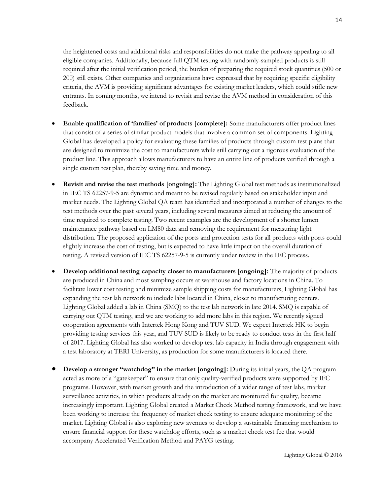the heightened costs and additional risks and responsibilities do not make the pathway appealing to all eligible companies. Additionally, because full QTM testing with randomly-sampled products is still required after the initial verification period, the burden of preparing the required stock quantities (500 or 200) still exists. Other companies and organizations have expressed that by requiring specific eligibility criteria, the AVM is providing significant advantages for existing market leaders, which could stifle new entrants. In coming months, we intend to revisit and revise the AVM method in consideration of this feedback.

- **Enable qualification of 'families' of products [complete]:** Some manufacturers offer product lines that consist of a series of similar product models that involve a common set of components. Lighting Global has developed a policy for evaluating these families of products through custom test plans that are designed to minimize the cost to manufacturers while still carrying out a rigorous evaluation of the product line. This approach allows manufacturers to have an entire line of products verified through a single custom test plan, thereby saving time and money.
- **Revisit and revise the test methods [ongoing]:** The Lighting Global test methods as institutionalized in IEC TS 62257-9-5 are dynamic and meant to be revised regularly based on stakeholder input and market needs. The Lighting Global QA team has identified and incorporated a number of changes to the test methods over the past several years, including several measures aimed at reducing the amount of time required to complete testing. Two recent examples are the development of a shorter lumen maintenance pathway based on LM80 data and removing the requirement for measuring light distribution. The proposed application of the ports and protection tests for all products with ports could slightly increase the cost of testing, but is expected to have little impact on the overall duration of testing. A revised version of IEC TS 62257-9-5 is currently under review in the IEC process.
- **Develop additional testing capacity closer to manufacturers [ongoing]:** The majority of products are produced in China and most sampling occurs at warehouse and factory locations in China. To facilitate lower cost testing and minimize sample shipping costs for manufacturers, Lighting Global has expanding the test lab network to include labs located in China, closer to manufacturing centers. Lighting Global added a lab in China (SMQ) to the test lab network in late 2014. SMQ is capable of carrying out QTM testing, and we are working to add more labs in this region. We recently signed cooperation agreements with Intertek Hong Kong and TUV SUD. We expect Intertek HK to begin providing testing services this year, and TUV SUD is likely to be ready to conduct tests in the first half of 2017. Lighting Global has also worked to develop test lab capacity in India through engagement with a test laboratory at TERI University, as production for some manufacturers is located there.
- **Develop a stronger "watchdog" in the market [ongoing]:** During its initial years, the QA program acted as more of a "gatekeeper" to ensure that only quality-verified products were supported by IFC programs. However, with market growth and the introduction of a wider range of test labs, market surveillance activities, in which products already on the market are monitored for quality, became increasingly important. Lighting Global created a Market Check Method testing framework, and we have been working to increase the frequency of market check testing to ensure adequate monitoring of the market. Lighting Global is also exploring new avenues to develop a sustainable financing mechanism to ensure financial support for these watchdog efforts, such as a market check test fee that would accompany Accelerated Verification Method and PAYG testing.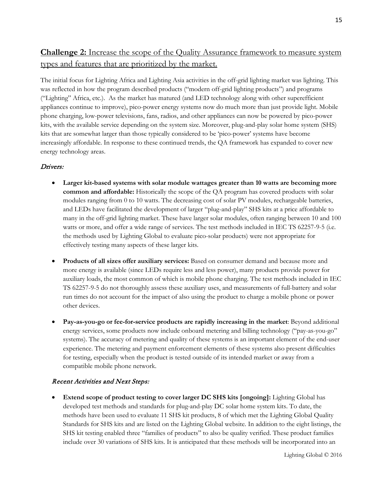# **Challenge 2:** Increase the scope of the Quality Assurance framework to measure system types and features that are prioritized by the market.

The initial focus for Lighting Africa and Lighting Asia activities in the off-grid lighting market was lighting. This was reflected in how the program described products ("modern off-grid lighting products") and programs ("Lighting" Africa, etc.). As the market has matured (and LED technology along with other superefficient appliances continue to improve), pico-power energy systems now do much more than just provide light. Mobile phone charging, low-power televisions, fans, radios, and other appliances can now be powered by pico-power kits, with the available service depending on the system size. Moreover, plug-and-play solar home system (SHS) kits that are somewhat larger than those typically considered to be 'pico-power' systems have become increasingly affordable. In response to these continued trends, the QA framework has expanded to cover new energy technology areas.

### Drivers:

- **Larger kit-based systems with solar module wattages greater than 10 watts are becoming more common and affordable:** Historically the scope of the QA program has covered products with solar modules ranging from 0 to 10 watts. The decreasing cost of solar PV modules, rechargeable batteries, and LEDs have facilitated the development of larger "plug-and-play" SHS kits at a price affordable to many in the off-grid lighting market. These have larger solar modules, often ranging between 10 and 100 watts or more, and offer a wide range of services. The test methods included in IEC TS 62257-9-5 (i.e. the methods used by Lighting Global to evaluate pico-solar products) were not appropriate for effectively testing many aspects of these larger kits.
- **Products of all sizes offer auxiliary services:** Based on consumer demand and because more and more energy is available (since LEDs require less and less power), many products provide power for auxiliary loads, the most common of which is mobile phone charging. The test methods included in IEC TS 62257-9-5 do not thoroughly assess these auxiliary uses, and measurements of full-battery and solar run times do not account for the impact of also using the product to charge a mobile phone or power other devices.
- **Pay-as-you-go or fee-for-service products are rapidly increasing in the market**: Beyond additional energy services, some products now include onboard metering and billing technology ("pay-as-you-go" systems). The accuracy of metering and quality of these systems is an important element of the end-user experience. The metering and payment enforcement elements of these systems also present difficulties for testing, especially when the product is tested outside of its intended market or away from a compatible mobile phone network.

## Recent Activities and Next Steps:

• **Extend scope of product testing to cover larger DC SHS kits [ongoing]:** Lighting Global has developed test methods and standards for plug-and-play DC solar home system kits. To date, the methods have been used to evaluate 11 SHS kit products, 8 of which met the Lighting Global Quality Standards for SHS kits and are listed on the Lighting Global website. In addition to the eight listings, the SHS kit testing enabled three "families of products" to also be quality verified. These product families include over 30 variations of SHS kits. It is anticipated that these methods will be incorporated into an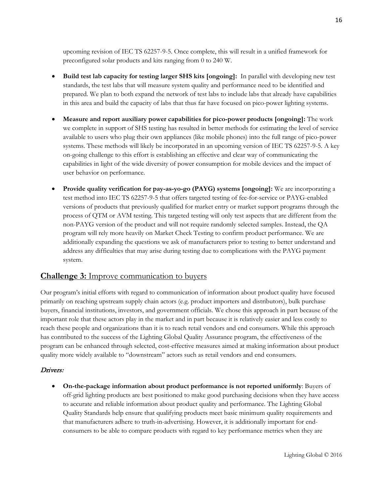upcoming revision of IEC TS 62257-9-5. Once complete, this will result in a unified framework for preconfigured solar products and kits ranging from 0 to 240 W.

- **Build test lab capacity for testing larger SHS kits [ongoing]:** In parallel with developing new test standards, the test labs that will measure system quality and performance need to be identified and prepared. We plan to both expand the network of test labs to include labs that already have capabilities in this area and build the capacity of labs that thus far have focused on pico-power lighting systems.
- **Measure and report auxiliary power capabilities for pico-power products [ongoing]:** The work we complete in support of SHS testing has resulted in better methods for estimating the level of service available to users who plug their own appliances (like mobile phones) into the full range of pico-power systems. These methods will likely be incorporated in an upcoming version of IEC TS 62257-9-5. A key on-going challenge to this effort is establishing an effective and clear way of communicating the capabilities in light of the wide diversity of power consumption for mobile devices and the impact of user behavior on performance.
- **Provide quality verification for pay-as-yo-go (PAYG) systems [ongoing]:** We are incorporating a test method into IEC TS 62257-9-5 that offers targeted testing of fee-for-service or PAYG-enabled versions of products that previously qualified for market entry or market support programs through the process of QTM or AVM testing. This targeted testing will only test aspects that are different from the non-PAYG version of the product and will not require randomly selected samples. Instead, the QA program will rely more heavily on Market Check Testing to confirm product performance. We are additionally expanding the questions we ask of manufacturers prior to testing to better understand and address any difficulties that may arise during testing due to complications with the PAYG payment system.

# **Challenge 3:** Improve communication to buyers

Our program's initial efforts with regard to communication of information about product quality have focused primarily on reaching upstream supply chain actors (e.g. product importers and distributors), bulk purchase buyers, financial institutions, investors, and government officials. We chose this approach in part because of the important role that these actors play in the market and in part because it is relatively easier and less costly to reach these people and organizations than it is to reach retail vendors and end consumers. While this approach has contributed to the success of the Lighting Global Quality Assurance program, the effectiveness of the program can be enhanced through selected, cost-effective measures aimed at making information about product quality more widely available to "downstream" actors such as retail vendors and end consumers.

#### Drivers:

• **On-the-package information about product performance is not reported uniformly**: Buyers of off-grid lighting products are best positioned to make good purchasing decisions when they have access to accurate and reliable information about product quality and performance. The Lighting Global Quality Standards help ensure that qualifying products meet basic minimum quality requirements and that manufacturers adhere to truth-in-advertising. However, it is additionally important for endconsumers to be able to compare products with regard to key performance metrics when they are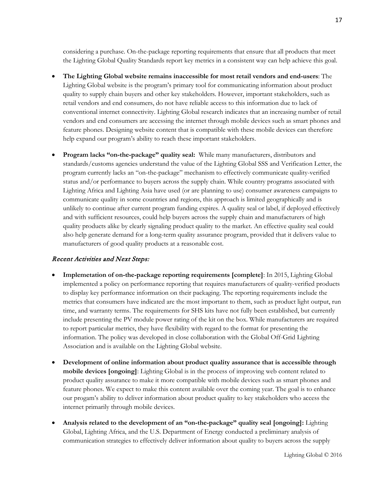considering a purchase. On-the-package reporting requirements that ensure that all products that meet the Lighting Global Quality Standards report key metrics in a consistent way can help achieve this goal.

- **The Lighting Global website remains inaccessible for most retail vendors and end-users**: The Lighting Global website is the program's primary tool for communicating information about product quality to supply chain buyers and other key stakeholders. However, important stakeholders, such as retail vendors and end consumers, do not have reliable access to this information due to lack of conventional internet connectivity. Lighting Global research indicates that an increasing number of retail vendors and end consumers are accessing the internet through mobile devices such as smart phones and feature phones. Designing website content that is compatible with these mobile devices can therefore help expand our program's ability to reach these important stakeholders.
- **Program lacks "on-the-package" quality seal:** While many manufacturers, distributors and standards/customs agencies understand the value of the Lighting Global SSS and Verification Letter, the program currently lacks an "on-the-package" mechanism to effectively communicate quality-verified status and/or performance to buyers across the supply chain. While country programs associated with Lighting Africa and Lighting Asia have used (or are planning to use) consumer awareness campaigns to communicate quality in some countries and regions, this approach is limited geographically and is unlikely to continue after current program funding expires. A quality seal or label, if deployed effectively and with sufficient resources, could help buyers across the supply chain and manufacturers of high quality products alike by clearly signaling product quality to the market. An effective quality seal could also help generate demand for a long-term quality assurance program, provided that it delivers value to manufacturers of good quality products at a reasonable cost.

#### Recent Activities and Next Steps:

- **Implemetation of on-the-package reporting requirements [complete]**: In 2015, Lighting Global implemented a policy on performance reporting that requires manufacturers of quality-verified products to display key performance information on their packaging. The reporting requirements include the metrics that consumers have indicated are the most important to them, such as product light output, run time, and warranty terms. The requirements for SHS kits have not fully been established, but currently include presenting the PV module power rating of the kit on the box. While manufacturers are required to report particular metrics, they have flexibility with regard to the format for presenting the information. The policy was developed in close collaboration with the Global Off-Grid Lighting Association and is available on the Lighting Global website.
- **Development of online information about product quality assurance that is accessible through mobile devices [ongoing]**: Lighting Global is in the process of improving web content related to product quality assurance to make it more compatible with mobile devices such as smart phones and feature phones. We expect to make this content available over the coming year. The goal is to enhance our progam's ability to deliver information about product quality to key stakeholders who access the internet primarily through mobile devices.
- **Analysis related to the development of an "on-the-package" quality seal [ongoing]:** Lighting Global, Lighting Africa, and the U.S. Department of Energy conducted a preliminary analysis of communication strategies to effectively deliver information about quality to buyers across the supply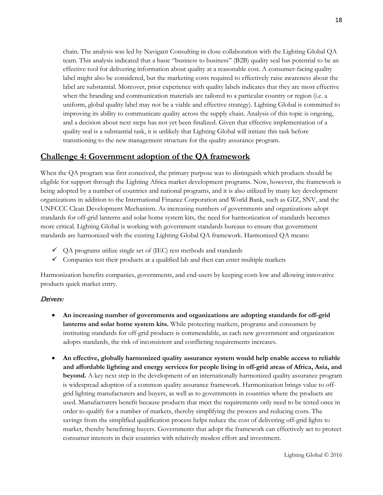chain. The analysis was led by Navigant Consulting in close collaboration with the Lighting Global QA team. This analysis indicated that a basic "business to business" (B2B) quality seal has potential to be an effective tool for delivering information about quality at a reasonable cost. A consumer-facing quality label might also be considered, but the marketing costs required to effectively raise awareness about the label are substantial. Moreover, prior experience with quality labels indicates that they are most effective when the branding and communication materials are tailored to a particular country or region (i.e. a uniform, global quality label may not be a viable and effective strategy). Lighting Global is committed to improving its ability to communicate quality across the supply chain. Analysis of this topic is ongoing, and a decision about next steps has not yet been finalized. Given that effective implementation of a quality seal is a substantial task, it is unlikely that Lighting Global will initiate this task before transitioning to the new management structure for the quality assurance program.

# **Challenge 4: Government adoption of the QA framework**

When the QA program was first conceived, the primary purpose was to distinguish which products should be eligible for support through the Lighting Africa market development programs. Now, however, the framework is being adopted by a number of countries and national programs, and it is also utilized by many key development organizations in addition to the International Finance Corporation and World Bank, such as GIZ, SNV, and the UNFCCC Clean Development Mechanism. As increasing numbers of governments and organizations adopt standards for off-grid lanterns and solar home system kits, the need for harmonization of standards becomes more critical. Lighting Global is working with government standards bureaus to ensure that government standards are harmonized with the existing Lighting Global QA framework. Harmonized QA means:

- $\checkmark$  QA programs utilize single set of (IEC) test methods and standards
- $\checkmark$  Companies test their products at a qualified lab and then can enter multiple markets

Harmonization benefits companies, governments, and end-users by keeping costs low and allowing innovative products quick market entry.

## Drivers:

- **An increasing number of governments and organizations are adopting standards for off-grid lanterns and solar home system kits.** While protecting markets, programs and consumers by instituting standards for off-grid products is commendable, as each new government and organization adopts standards, the risk of inconsistent and conflicting requirements increases.
- **An effective, globally harmonized quality assurance system would help enable access to reliable and affordable lighting and energy services for people living in off-grid areas of Africa, Asia, and beyond.** A key next step in the development of an internationally harmonized quality assurance program is widespread adoption of a common quality assurance framework. Harmonization brings value to offgrid lighting manufacturers and buyers, as well as to governments in countries where the products are used. Manufacturers benefit because products that meet the requirements only need to be tested once in order to qualify for a number of markets, thereby simplifying the process and reducing costs. The savings from the simplified qualification process helps reduce the cost of delivering off-grid lights to market, thereby benefitting buyers. Governments that adopt the framework can effectively act to protect consumer interests in their countries with relatively modest effort and investment.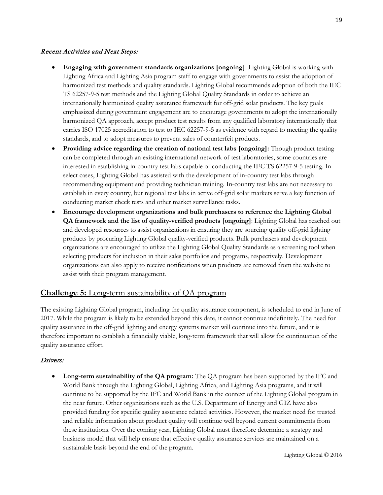## Recent Activities and Next Steps:

- **Engaging with government standards organizations [ongoing]**: Lighting Global is working with Lighting Africa and Lighting Asia program staff to engage with governments to assist the adoption of harmonized test methods and quality standards. Lighting Global recommends adoption of both the IEC TS 62257-9-5 test methods and the Lighting Global Quality Standards in order to achieve an internationally harmonized quality assurance framework for off-grid solar products. The key goals emphasized during government engagement are to encourage governments to adopt the internationally harmonized QA approach, accept product test results from any qualified laboratory internationally that carries ISO 17025 accreditation to test to IEC 62257-9-5 as evidence with regard to meeting the quality standards, and to adopt measures to prevent sales of counterfeit products.
- **Providing advice regarding the creation of national test labs [ongoing]:** Though product testing can be completed through an existing international network of test laboratories, some countries are interested in establishing in-country test labs capable of conducting the IEC TS 62257-9-5 testing. In select cases, Lighting Global has assisted with the development of in-country test labs through recommending equipment and providing technician training. In-country test labs are not necessary to establish in every country, but regional test labs in active off-grid solar markets serve a key function of conducting market check tests and other market surveillance tasks.
- **Encourage development organizations and bulk purchasers to reference the Lighting Global QA framework and the list of quality-verified products [ongoing]**: Lighting Global has reached out and developed resources to assist organizations in ensuring they are sourcing quality off-grid lighting products by procuring Lighting Global quality-verified products. Bulk purchasers and development organizations are encouraged to utilize the Lighting Global Quality Standards as a screening tool when selecting products for inclusion in their sales portfolios and programs, respectively. Development organizations can also apply to receive notifications when products are removed from the website to assist with their program management.

# **Challenge 5:** Long-term sustainability of QA program

The existing Lighting Global program, including the quality assurance component, is scheduled to end in June of 2017. While the program is likely to be extended beyond this date, it cannot continue indefinitely. The need for quality assurance in the off-grid lighting and energy systems market will continue into the future, and it is therefore important to establish a financially viable, long-term framework that will allow for continuation of the quality assurance effort.

## Drivers:

• **Long-term sustainability of the QA program:** The QA program has been supported by the IFC and World Bank through the Lighting Global, Lighting Africa, and Lighting Asia programs, and it will continue to be supported by the IFC and World Bank in the context of the Lighting Global program in the near future. Other organizations such as the U.S. Department of Energy and GIZ have also provided funding for specific quality assurance related activities. However, the market need for trusted and reliable information about product quality will continue well beyond current commitments from these institutions. Over the coming year, Lighting Global must therefore determine a strategy and business model that will help ensure that effective quality assurance services are maintained on a sustainable basis beyond the end of the program.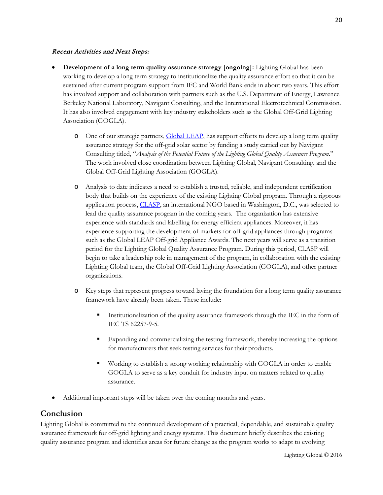### Recent Activities and Next Steps:

- **Development of a long term quality assurance strategy [ongoing]:** Lighting Global has been working to develop a long term strategy to institutionalize the quality assurance effort so that it can be sustained after current program support from IFC and World Bank ends in about two years. This effort has involved support and collaboration with partners such as the U.S. Department of Energy, Lawrence Berkeley National Laboratory, Navigant Consulting, and the International Electrotechnical Commission. It has also involved engagement with key industry stakeholders such as the Global Off-Grid Lighting Association (GOGLA).
	- o One of our strategic partners, **Global LEAP**, has support efforts to develop a long term quality assurance strategy for the off-grid solar sector by funding a study carried out by Navigant Consulting titled, "*Analysis of the Potential Future of the Lighting Global Quality Assurance Program*." The work involved close coordination between Lighting Global, Navigant Consulting, and the Global Off-Grid Lighting Association (GOGLA).
	- o Analysis to date indicates a need to establish a trusted, reliable, and independent certification body that builds on the experience of the existing Lighting Global program. Through a rigorous application process, [CLASP,](http://clasp.ngo/) an international NGO based in Washington, D.C., was selected to lead the quality assurance program in the coming years. The organization has extensive experience with standards and labelling for energy efficient appliances. Moreover, it has experience supporting the development of markets for off-grid appliances through programs such as the Global LEAP Off-grid Appliance Awards. The next years will serve as a transition period for the Lighting Global Quality Assurance Program. During this period, CLASP will begin to take a leadership role in management of the program, in collaboration with the existing Lighting Global team, the Global Off-Grid Lighting Association (GOGLA), and other partner organizations.
	- o Key steps that represent progress toward laying the foundation for a long term quality assurance framework have already been taken. These include:
		- Institutionalization of the quality assurance framework through the IEC in the form of IEC TS 62257-9-5.
		- Expanding and commercializing the testing framework, thereby increasing the options for manufacturers that seek testing services for their products.
		- Working to establish a strong working relationship with GOGLA in order to enable GOGLA to serve as a key conduit for industry input on matters related to quality assurance.
- Additional important steps will be taken over the coming months and years.

# **Conclusion**

Lighting Global is committed to the continued development of a practical, dependable, and sustainable quality assurance framework for off-grid lighting and energy systems. This document briefly describes the existing quality assurance program and identifies areas for future change as the program works to adapt to evolving